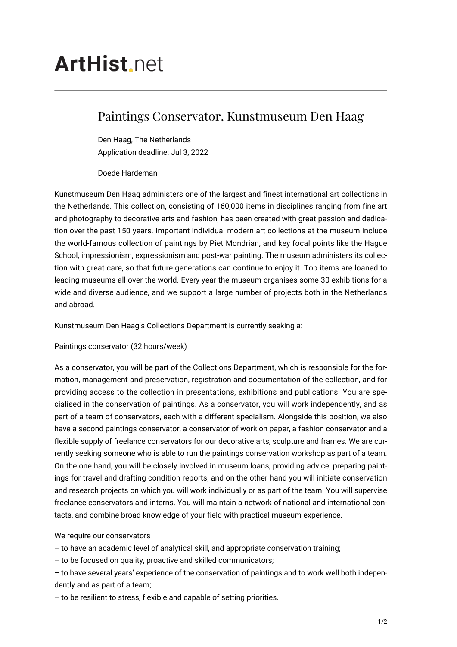# **ArtHist**, net

## Paintings Conservator, Kunstmuseum Den Haag

Den Haag, The Netherlands Application deadline: Jul 3, 2022

Doede Hardeman

Kunstmuseum Den Haag administers one of the largest and finest international art collections in the Netherlands. This collection, consisting of 160,000 items in disciplines ranging from fine art and photography to decorative arts and fashion, has been created with great passion and dedication over the past 150 years. Important individual modern art collections at the museum include the world-famous collection of paintings by Piet Mondrian, and key focal points like the Hague School, impressionism, expressionism and post-war painting. The museum administers its collection with great care, so that future generations can continue to enjoy it. Top items are loaned to leading museums all over the world. Every year the museum organises some 30 exhibitions for a wide and diverse audience, and we support a large number of projects both in the Netherlands and abroad.

Kunstmuseum Den Haag's Collections Department is currently seeking a:

Paintings conservator (32 hours/week)

As a conservator, you will be part of the Collections Department, which is responsible for the formation, management and preservation, registration and documentation of the collection, and for providing access to the collection in presentations, exhibitions and publications. You are specialised in the conservation of paintings. As a conservator, you will work independently, and as part of a team of conservators, each with a different specialism. Alongside this position, we also have a second paintings conservator, a conservator of work on paper, a fashion conservator and a flexible supply of freelance conservators for our decorative arts, sculpture and frames. We are currently seeking someone who is able to run the paintings conservation workshop as part of a team. On the one hand, you will be closely involved in museum loans, providing advice, preparing paintings for travel and drafting condition reports, and on the other hand you will initiate conservation and research projects on which you will work individually or as part of the team. You will supervise freelance conservators and interns. You will maintain a network of national and international contacts, and combine broad knowledge of your field with practical museum experience.

We require our conservators

– to have an academic level of analytical skill, and appropriate conservation training;

– to be focused on quality, proactive and skilled communicators;

– to have several years' experience of the conservation of paintings and to work well both independently and as part of a team;

– to be resilient to stress, flexible and capable of setting priorities.